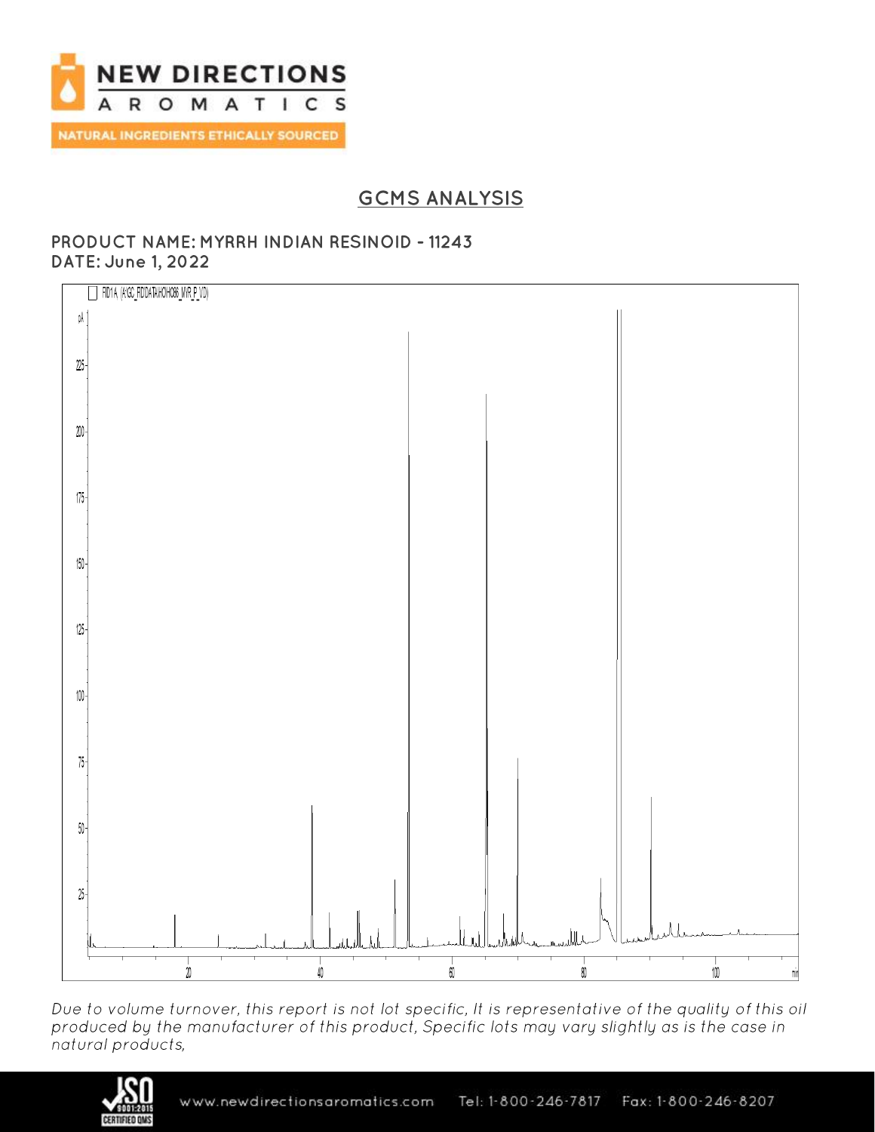

# **GCMS ANALYSIS**

### PRODUCT NAME: MYRRH INDIAN RESINOID - 11243 **DATE: June 1, 2022**



Due to volume turnover, this report is not lot specific, It is representative of the quality of this oil produced by the manufacturer of this product, Specific lots may vary slightly as is the case in natural products,

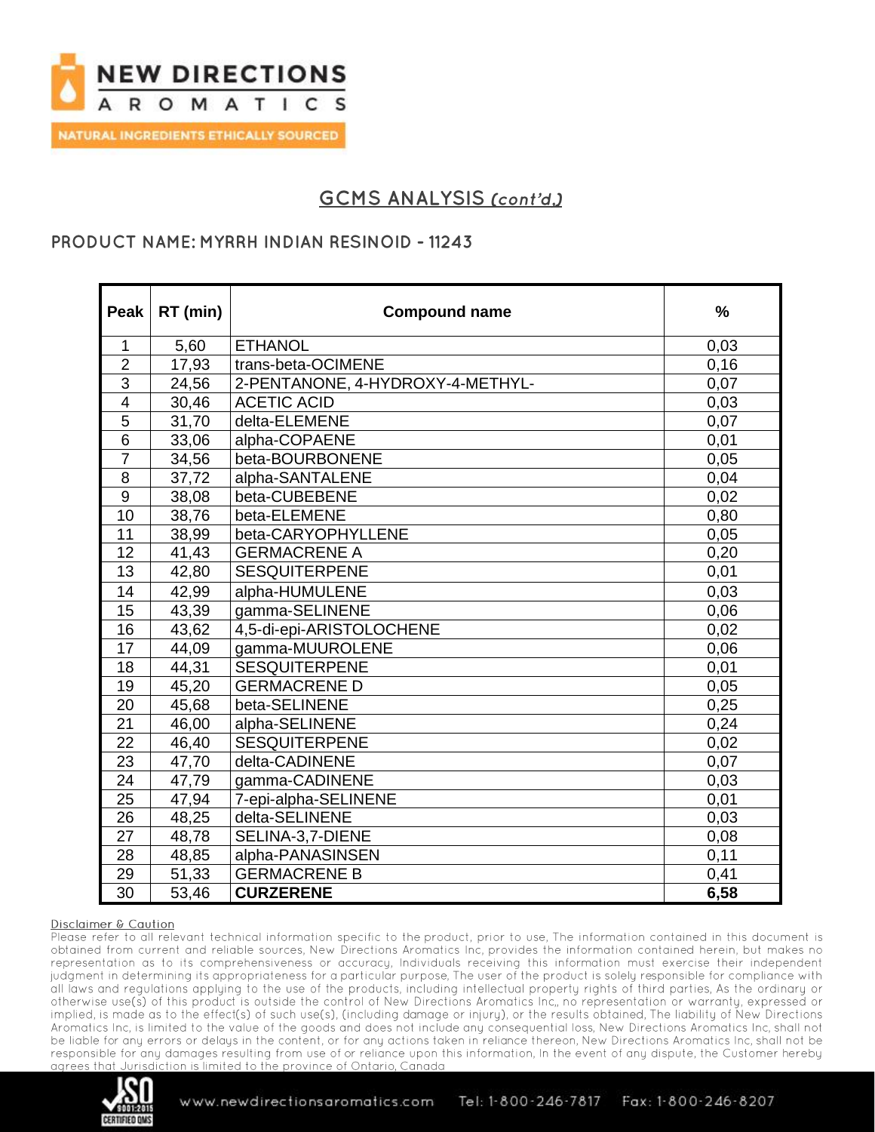

## **PRODUCT NAME: MYRRH INDIAN RESINOID - 11243**

| Peak                    | RT (min) | <b>Compound name</b>             | $\frac{1}{2}$ |
|-------------------------|----------|----------------------------------|---------------|
| $\mathbf{1}$            | 5,60     | <b>ETHANOL</b>                   | 0,03          |
| $\overline{2}$          | 17,93    | trans-beta-OCIMENE               | 0, 16         |
| $\overline{3}$          | 24,56    | 2-PENTANONE, 4-HYDROXY-4-METHYL- | 0,07          |
| $\overline{\mathbf{4}}$ | 30,46    | <b>ACETIC ACID</b>               | 0.03          |
| 5                       | 31,70    | delta-ELEMENE                    | 0,07          |
| $\overline{6}$          | 33,06    | alpha-COPAENE                    | 0,01          |
| $\overline{7}$          | 34,56    | beta-BOURBONENE                  | 0,05          |
| 8                       | 37,72    | alpha-SANTALENE                  | 0,04          |
| $\boldsymbol{9}$        | 38,08    | beta-CUBEBENE                    | 0,02          |
| 10                      | 38,76    | beta-ELEMENE                     | 0.80          |
| 11                      | 38,99    | beta-CARYOPHYLLENE               | 0,05          |
| 12                      | 41,43    | <b>GERMACRENE A</b>              | 0,20          |
| 13                      | 42,80    | <b>SESQUITERPENE</b>             | 0,01          |
| 14                      | 42,99    | alpha-HUMULENE                   | 0.03          |
| 15                      | 43,39    | gamma-SELINENE                   | 0,06          |
| 16                      | 43,62    | 4,5-di-epi-ARISTOLOCHENE         | 0,02          |
| 17                      | 44,09    | gamma-MUUROLENE                  | 0,06          |
| 18                      | 44,31    | <b>SESQUITERPENE</b>             | 0,01          |
| 19                      | 45,20    | <b>GERMACRENE D</b>              | 0,05          |
| 20                      | 45,68    | beta-SELINENE                    | 0,25          |
| 21                      | 46,00    | alpha-SELINENE                   | 0,24          |
| 22                      | 46,40    | <b>SESQUITERPENE</b>             | 0,02          |
| 23                      | 47,70    | delta-CADINENE                   | 0.07          |
| 24                      | 47,79    | gamma-CADINENE                   | 0,03          |
| $\overline{25}$         | 47,94    | 7-epi-alpha-SELINENE             | 0,01          |
| 26                      | 48,25    | delta-SELINENE                   | 0.03          |
| 27                      | 48,78    | SELINA-3,7-DIENE                 | 0,08          |
| 28                      | 48,85    | alpha-PANASINSEN                 | 0,11          |
| 29                      | 51,33    | <b>GERMACRENE B</b>              | 0,41          |
| $\overline{30}$         | 53,46    | <b>CURZERENE</b>                 | 6,58          |

#### Disclaimer & Caution

Please refer to all relevant technical information specific to the product, prior to use, The information contained in this document is obtained from current and reliable sources, New Directions Aromatics Inc, provides the information contained herein, but makes no representation as to its comprehensiveness or accuracy, Individuals receiving this information must exercise their independent judgment in determining its appropriateness for a particular purpose, The user of the product is solely responsible for compliance with all laws and regulations applying to the use of the products, including intellectual property rights of third parties, As the ordinary or otherwise use(s) of this product is outside the control of New Directions Aromatics Inc., no representation or warranty, expressed or implied, is made as to the effect(s) of such use(s), (including damage or injury), or the results obtained, The liability of New Directions Aromatics Inc, is limited to the value of the goods and does not include any consequential loss, New Directions Aromatics Inc, shall not be liable for any errors or delays in the content, or for any actions taken in reliance thereon, New Directions Aromatics Inc, shall not be responsible for any damages resulting from use of or reliance upon this information, In the event of any dispute, the Customer hereby Jurisdiction is limited to the province of Ontario. Canada. aarees that

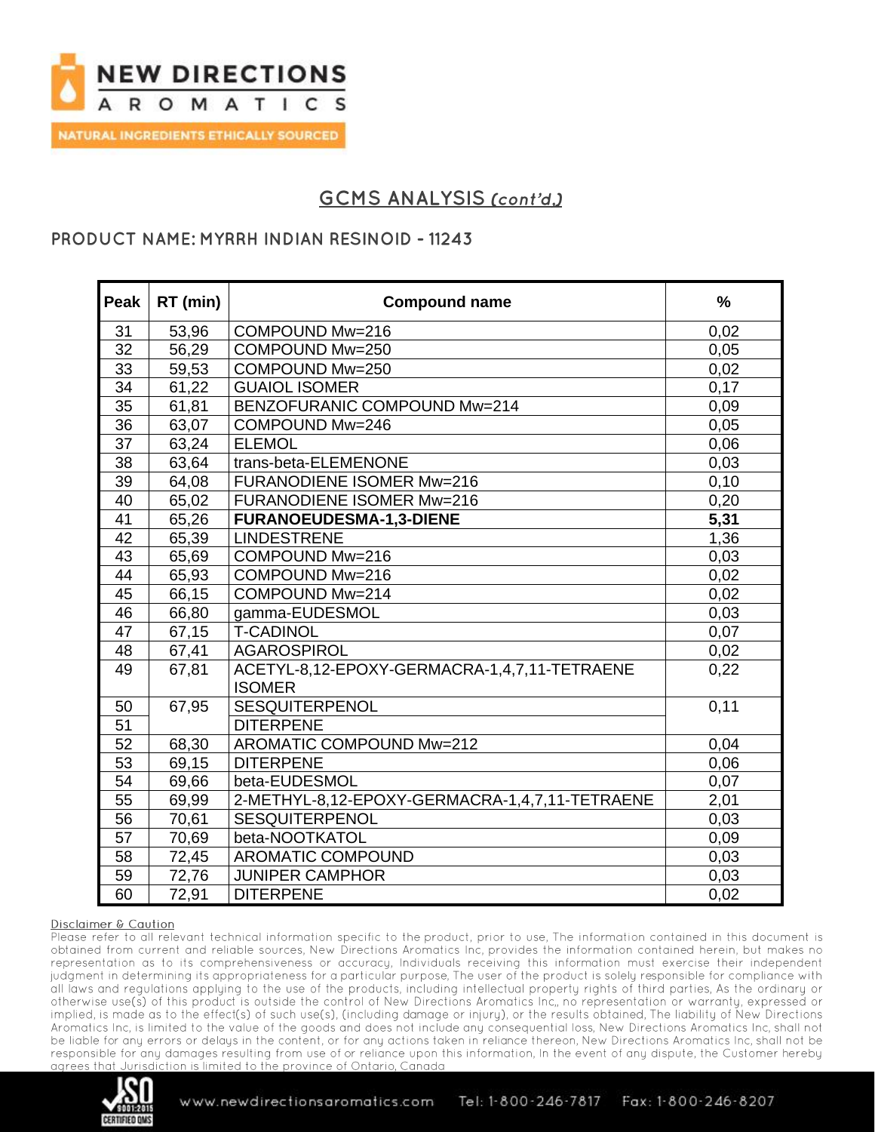

## **PRODUCT NAME: MYRRH INDIAN RESINOID - 11243**

| <b>Peak</b>     | RT (min) | <b>Compound name</b>                                          | $\frac{0}{0}$ |
|-----------------|----------|---------------------------------------------------------------|---------------|
| 31              | 53,96    | COMPOUND Mw=216                                               | 0,02          |
| 32              | 56,29    | COMPOUND Mw=250                                               | 0,05          |
| 33              | 59,53    | COMPOUND Mw=250                                               | 0,02          |
| $\overline{34}$ | 61,22    | <b>GUAIOL ISOMER</b>                                          | 0,17          |
| $\overline{35}$ | 61,81    | BENZOFURANIC COMPOUND Mw=214                                  | 0,09          |
| 36              | 63,07    | COMPOUND Mw=246                                               | 0,05          |
| 37              | 63,24    | <b>ELEMOL</b>                                                 | 0,06          |
| 38              | 63,64    | trans-beta-ELEMENONE                                          | 0,03          |
| 39              | 64,08    | <b>FURANODIENE ISOMER Mw=216</b>                              | 0,10          |
| 40              | 65,02    | <b>FURANODIENE ISOMER Mw=216</b>                              | 0,20          |
| 41              | 65,26    | <b>FURANOEUDESMA-1,3-DIENE</b>                                | 5,31          |
| 42              | 65,39    | <b>LINDESTRENE</b>                                            | 1,36          |
| 43              | 65,69    | COMPOUND Mw=216                                               | 0,03          |
| 44              | 65,93    | COMPOUND Mw=216                                               | 0.02          |
| 45              | 66,15    | COMPOUND Mw=214                                               | 0,02          |
| 46              | 66,80    | gamma-EUDESMOL                                                | 0,03          |
| 47              | 67,15    | <b>T-CADINOL</b>                                              | 0,07          |
| 48              | 67,41    | <b>AGAROSPIROL</b>                                            | 0,02          |
| 49              | 67,81    | ACETYL-8,12-EPOXY-GERMACRA-1,4,7,11-TETRAENE<br><b>ISOMER</b> | 0,22          |
| 50              | 67,95    | <b>SESQUITERPENOL</b>                                         | 0,11          |
| $\overline{51}$ |          | <b>DITERPENE</b>                                              |               |
| 52              | 68,30    | AROMATIC COMPOUND Mw=212                                      | 0,04          |
| 53              | 69,15    | <b>DITERPENE</b>                                              | 0,06          |
| 54              | 69,66    | beta-EUDESMOL                                                 | 0,07          |
| 55              | 69,99    | 2-METHYL-8,12-EPOXY-GERMACRA-1,4,7,11-TETRAENE                | 2,01          |
| 56              | 70,61    | <b>SESQUITERPENOL</b>                                         | 0,03          |
| 57              | 70,69    | beta-NOOTKATOL                                                | 0,09          |
| 58              | 72,45    | <b>AROMATIC COMPOUND</b>                                      | 0,03          |
| 59              | 72,76    | <b>JUNIPER CAMPHOR</b>                                        | 0,03          |
| 60              | 72,91    | <b>DITERPENE</b>                                              | 0,02          |

#### Disclaimer & Caution

Please refer to all relevant technical information specific to the product, prior to use, The information contained in this document is obtained from current and reliable sources, New Directions Aromatics Inc, provides the information contained herein, but makes no representation as to its comprehensiveness or accuracy, Individuals receiving this information must exercise their independent judgment in determining its appropriateness for a particular purpose, The user of the product is solely responsible for compliance with all laws and regulations applying to the use of the products, including intellectual property rights of third parties, As the ordinary or otherwise use(s) of this product is outside the control of New Directions Aromatics Inc., no representation or warranty, expressed or implied, is made as to the effect(s) of such use(s), (including damage or injury), or the results obtained, The liability of New Directions Aromatics Inc, is limited to the value of the goods and does not include any consequential loss, New Directions Aromatics Inc, shall not be liable for any errors or delays in the content, or for any actions taken in reliance thereon, New Directions Aromatics Inc, shall not be responsible for any damages resulting from use of or reliance upon this information, In the event of any dispute, the Customer hereby agrees that Jurisdiction is limited to the province of Ontario. Canada.

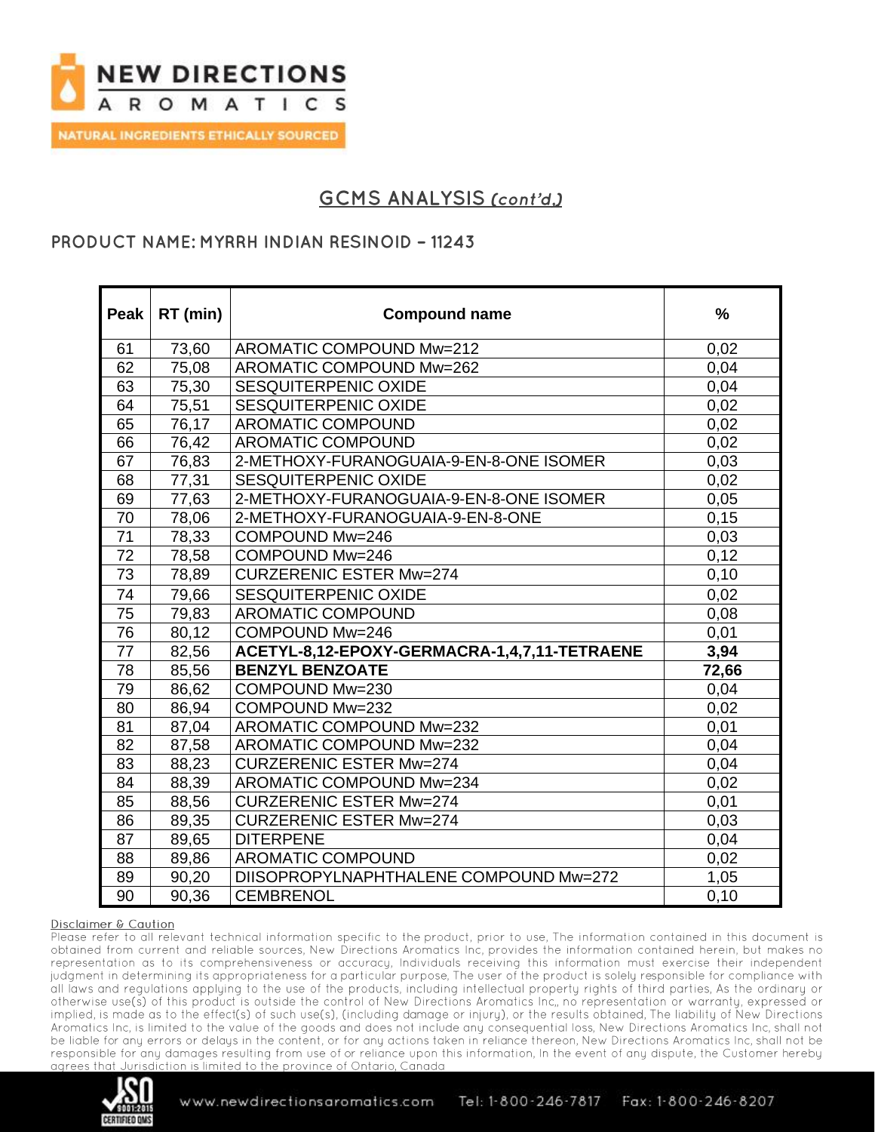

## **PRODUCT NAME: MYRRH INDIAN RESINOID - 11243**

| Peak            | RT (min) | <b>Compound name</b>                         | $\frac{9}{6}$ |
|-----------------|----------|----------------------------------------------|---------------|
|                 |          |                                              |               |
| 61              | 73,60    | AROMATIC COMPOUND Mw=212                     | 0,02          |
| 62              | 75,08    | AROMATIC COMPOUND Mw=262                     | 0.04          |
| 63              | 75,30    | SESQUITERPENIC OXIDE                         | 0,04          |
| 64              | 75,51    | SESQUITERPENIC OXIDE                         | 0,02          |
| 65              | 76,17    | <b>AROMATIC COMPOUND</b>                     | 0,02          |
| 66              | 76,42    | <b>AROMATIC COMPOUND</b>                     | 0,02          |
| 67              | 76,83    | 2-METHOXY-FURANOGUAIA-9-EN-8-ONE ISOMER      | 0,03          |
| 68              | 77,31    | SESQUITERPENIC OXIDE                         | 0,02          |
| 69              | 77,63    | 2-METHOXY-FURANOGUAIA-9-EN-8-ONE ISOMER      | 0,05          |
| 70              | 78,06    | 2-METHOXY-FURANOGUAIA-9-EN-8-ONE             | 0, 15         |
| 71              | 78,33    | COMPOUND Mw=246                              | 0,03          |
| 72              | 78,58    | COMPOUND Mw=246                              | 0,12          |
| $\overline{73}$ | 78,89    | <b>CURZERENIC ESTER Mw=274</b>               | 0, 10         |
| 74              | 79,66    | <b>SESQUITERPENIC OXIDE</b>                  | 0,02          |
| 75              | 79,83    | <b>AROMATIC COMPOUND</b>                     | 0,08          |
| 76              | 80,12    | COMPOUND Mw=246                              | 0,01          |
| $\overline{77}$ | 82,56    | ACETYL-8,12-EPOXY-GERMACRA-1,4,7,11-TETRAENE | 3,94          |
| 78              | 85,56    | <b>BENZYL BENZOATE</b>                       | 72,66         |
| 79              | 86,62    | COMPOUND Mw=230                              | 0,04          |
| 80              | 86,94    | COMPOUND Mw=232                              | 0,02          |
| 81              | 87,04    | AROMATIC COMPOUND Mw=232                     | 0,01          |
| 82              | 87,58    | AROMATIC COMPOUND Mw=232                     | 0,04          |
| 83              | 88,23    | <b>CURZERENIC ESTER Mw=274</b>               | 0,04          |
| 84              | 88,39    | AROMATIC COMPOUND Mw=234                     | 0,02          |
| 85              | 88,56    | <b>CURZERENIC ESTER Mw=274</b>               | 0,01          |
| 86              | 89,35    | <b>CURZERENIC ESTER Mw=274</b>               | 0,03          |
| 87              | 89,65    | <b>DITERPENE</b>                             | 0,04          |
| 88              | 89,86    | AROMATIC COMPOUND                            | 0,02          |
| 89              | 90,20    | DIISOPROPYLNAPHTHALENE COMPOUND Mw=272       | 1,05          |
| 90              | 90,36    | <b>CEMBRENOL</b>                             | 0,10          |

#### Disclaimer & Caution

Please refer to all relevant technical information specific to the product, prior to use, The information contained in this document is obtained from current and reliable sources, New Directions Aromatics Inc, provides the information contained herein, but makes no representation as to its comprehensiveness or accuracy, Individuals receiving this information must exercise their independent judgment in determining its appropriateness for a particular purpose, The user of the product is solely responsible for compliance with all laws and regulations applying to the use of the products, including intellectual property rights of third parties, As the ordinary or otherwise use(s) of this product is outside the control of New Directions Aromatics Inc., no representation or warranty, expressed or implied, is made as to the effect(s) of such use(s), (including damage or injury), or the results obtained, The liability of New Directions Aromatics Inc, is limited to the value of the goods and does not include any consequential loss, New Directions Aromatics Inc, shall not be liable for any errors or delays in the content, or for any actions taken in reliance thereon, New Directions Aromatics Inc, shall not be responsible for any damages resulting from use of or reliance upon this information, In the event of any dispute, the Customer hereby Jurisdiction is limited to the province of Ontario. Canada. aarees that